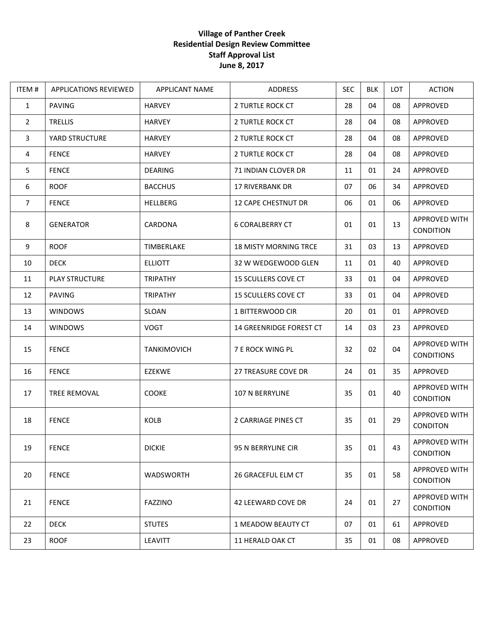## **Village of Panther Creek Residential Design Review Committee Staff Approval List June 8, 2017**

| ITEM#          | <b>APPLICATIONS REVIEWED</b> | APPLICANT NAME     | ADDRESS                      | <b>SEC</b> | <b>BLK</b> | LOT | <b>ACTION</b>                      |
|----------------|------------------------------|--------------------|------------------------------|------------|------------|-----|------------------------------------|
| $\mathbf{1}$   | <b>PAVING</b>                | <b>HARVEY</b>      | 2 TURTLE ROCK CT             | 28         | 04         | 08  | APPROVED                           |
| $\overline{2}$ | <b>TRELLIS</b>               | <b>HARVEY</b>      | 2 TURTLE ROCK CT             | 28         | 04         | 08  | <b>APPROVED</b>                    |
| $\mathbf{3}$   | YARD STRUCTURE               | <b>HARVEY</b>      | 2 TURTLE ROCK CT             | 28         | 04         | 08  | APPROVED                           |
| 4              | <b>FENCE</b>                 | <b>HARVEY</b>      | 2 TURTLE ROCK CT             | 28         | 04         | 08  | APPROVED                           |
| 5              | <b>FENCE</b>                 | <b>DEARING</b>     | <b>71 INDIAN CLOVER DR</b>   | 11         | 01         | 24  | APPROVED                           |
| 6              | <b>ROOF</b>                  | <b>BACCHUS</b>     | 17 RIVERBANK DR              | 07         | 06         | 34  | APPROVED                           |
| $\overline{7}$ | <b>FENCE</b>                 | HELLBERG           | 12 CAPE CHESTNUT DR          | 06         | 01         | 06  | APPROVED                           |
| 8              | <b>GENERATOR</b>             | CARDONA            | <b>6 CORALBERRY CT</b>       | 01         | 01         | 13  | APPROVED WITH<br><b>CONDITION</b>  |
| 9              | <b>ROOF</b>                  | TIMBERLAKE         | <b>18 MISTY MORNING TRCE</b> | 31         | 03         | 13  | APPROVED                           |
| 10             | <b>DECK</b>                  | <b>ELLIOTT</b>     | 32 W WEDGEWOOD GLEN          | 11         | 01         | 40  | <b>APPROVED</b>                    |
| 11             | <b>PLAY STRUCTURE</b>        | <b>TRIPATHY</b>    | <b>15 SCULLERS COVE CT</b>   | 33         | 01         | 04  | APPROVED                           |
| 12             | <b>PAVING</b>                | <b>TRIPATHY</b>    | 15 SCULLERS COVE CT          | 33         | 01         | 04  | APPROVED                           |
| 13             | <b>WINDOWS</b>               | SLOAN              | 1 BITTERWOOD CIR             | 20         | 01         | 01  | APPROVED                           |
| 14             | <b>WINDOWS</b>               | <b>VOGT</b>        | 14 GREENRIDGE FOREST CT      | 14         | 03         | 23  | APPROVED                           |
| 15             | <b>FENCE</b>                 | <b>TANKIMOVICH</b> | 7 E ROCK WING PL             | 32         | 02         | 04  | APPROVED WITH<br><b>CONDITIONS</b> |
| 16             | <b>FENCE</b>                 | EZEKWE             | 27 TREASURE COVE DR          | 24         | 01         | 35  | APPROVED                           |
| 17             | TREE REMOVAL                 | COOKE              | 107 N BERRYLINE              | 35         | 01         | 40  | APPROVED WITH<br><b>CONDITION</b>  |
| 18             | <b>FENCE</b>                 | KOLB               | 2 CARRIAGE PINES CT          | 35         | 01         | 29  | APPROVED WITH<br>CONDITON          |
| 19             | <b>FENCE</b>                 | <b>DICKIE</b>      | 95 N BERRYLINE CIR           | 35         | 01         | 43  | APPROVED WITH<br><b>CONDITION</b>  |
| 20             | <b>FENCE</b>                 | WADSWORTH          | 26 GRACEFUL ELM CT           | 35         | 01         | 58  | APPROVED WITH<br><b>CONDITION</b>  |
| 21             | <b>FENCE</b>                 | <b>FAZZINO</b>     | 42 LEEWARD COVE DR           | 24         | 01         | 27  | APPROVED WITH<br><b>CONDITION</b>  |
| 22             | <b>DECK</b>                  | <b>STUTES</b>      | 1 MEADOW BEAUTY CT           | 07         | 01         | 61  | <b>APPROVED</b>                    |
| 23             | <b>ROOF</b>                  | LEAVITT            | 11 HERALD OAK CT             | 35         | 01         | 08  | APPROVED                           |